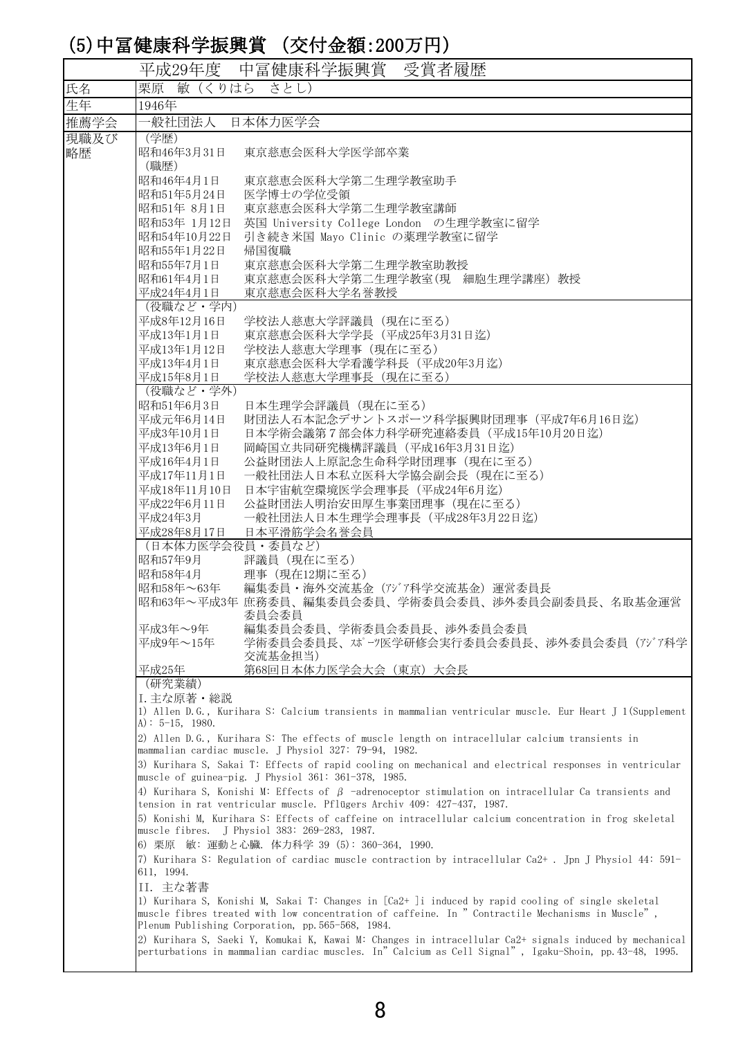## (5)中冨健康科学振興賞 (交付金額:200万円)

| 平成29年度 中冨健康科学振興賞<br>受賞者履歴<br>栗原 敏 (くりはら<br>氏名<br>さとし)<br>生年<br>1946年<br>推薦学会<br>一般社団法人<br>日本体力医学会<br>現職及び<br>(学歴)<br>昭和46年3月31日<br>東京慈恵会医科大学医学部卒業<br>略歴<br>(職歴)<br>昭和46年4月1日<br>東京慈恵会医科大学第二生理学教室助手<br>昭和51年5月24日<br>医学博士の学位受領<br>東京慈恵会医科大学第二生理学教室講師<br>昭和51年 8月1日<br>昭和53年 1月12日<br>英国 University College London の生理学教室に留学<br>引き続き米国 Mayo Clinic の薬理学教室に留学<br>昭和54年10月22日<br>昭和55年1月22日<br>帰国復職<br>昭和55年7月1日<br>東京慈恵会医科大学第二生理学教室助教授<br>東京慈恵会医科大学第二生理学教室(現 細胞生理学講座) 教授<br>昭和61年4月1日<br>東京慈恵会医科大学名誉教授<br>平成24年4月1日<br>(役職など・学内)<br>平成8年12月16日<br>学校法人慈恵大学評議員 (現在に至る) |  |
|--------------------------------------------------------------------------------------------------------------------------------------------------------------------------------------------------------------------------------------------------------------------------------------------------------------------------------------------------------------------------------------------------------------------------------------------------------------------------------------------------------------------------------------------------------------------|--|
|                                                                                                                                                                                                                                                                                                                                                                                                                                                                                                                                                                    |  |
|                                                                                                                                                                                                                                                                                                                                                                                                                                                                                                                                                                    |  |
|                                                                                                                                                                                                                                                                                                                                                                                                                                                                                                                                                                    |  |
|                                                                                                                                                                                                                                                                                                                                                                                                                                                                                                                                                                    |  |
|                                                                                                                                                                                                                                                                                                                                                                                                                                                                                                                                                                    |  |
|                                                                                                                                                                                                                                                                                                                                                                                                                                                                                                                                                                    |  |
|                                                                                                                                                                                                                                                                                                                                                                                                                                                                                                                                                                    |  |
|                                                                                                                                                                                                                                                                                                                                                                                                                                                                                                                                                                    |  |
|                                                                                                                                                                                                                                                                                                                                                                                                                                                                                                                                                                    |  |
|                                                                                                                                                                                                                                                                                                                                                                                                                                                                                                                                                                    |  |
|                                                                                                                                                                                                                                                                                                                                                                                                                                                                                                                                                                    |  |
|                                                                                                                                                                                                                                                                                                                                                                                                                                                                                                                                                                    |  |
|                                                                                                                                                                                                                                                                                                                                                                                                                                                                                                                                                                    |  |
|                                                                                                                                                                                                                                                                                                                                                                                                                                                                                                                                                                    |  |
| 東京慈恵会医科大学学長 (平成25年3月31日迄)<br>平成13年1月1日                                                                                                                                                                                                                                                                                                                                                                                                                                                                                                                             |  |
| 平成13年1月12日<br>学校法人慈恵大学理事(現在に至る)                                                                                                                                                                                                                                                                                                                                                                                                                                                                                                                                    |  |
| 東京慈恵会医科大学看護学科長 (平成20年3月迄)<br>平成13年4月1日                                                                                                                                                                                                                                                                                                                                                                                                                                                                                                                             |  |
| 学校法人慈恵大学理事長 (現在に至る)<br>平成15年8月1日                                                                                                                                                                                                                                                                                                                                                                                                                                                                                                                                   |  |
| (役職など・学外)<br>昭和51年6月3日<br>日本生理学会評議員(現在に至る)                                                                                                                                                                                                                                                                                                                                                                                                                                                                                                                         |  |
| 財団法人石本記念デサントスポーツ科学振興財団理事 (平成7年6月16日迄)<br>平成元年6月14日                                                                                                                                                                                                                                                                                                                                                                                                                                                                                                                 |  |
| 平成3年10月1日<br>日本学術会議第7部会体力科学研究連絡委員 (平成15年10月20日迄)                                                                                                                                                                                                                                                                                                                                                                                                                                                                                                                   |  |
| 平成13年6月1日<br>岡崎国立共同研究機構評議員 (平成16年3月31日迄)                                                                                                                                                                                                                                                                                                                                                                                                                                                                                                                           |  |
| 公益財団法人上原記念生命科学財団理事 (現在に至る)<br>平成16年4月1日                                                                                                                                                                                                                                                                                                                                                                                                                                                                                                                            |  |
| 一般社団法人日本私立医科大学協会副会長 (現在に至る)<br>平成17年11月1日                                                                                                                                                                                                                                                                                                                                                                                                                                                                                                                          |  |
| 日本宇宙航空環境医学会理事長 (平成24年6月迄)<br>平成18年11月10日                                                                                                                                                                                                                                                                                                                                                                                                                                                                                                                           |  |
| 公益財団法人明治安田厚生事業団理事 (現在に至る)<br>平成22年6月11日                                                                                                                                                                                                                                                                                                                                                                                                                                                                                                                            |  |
| 平成24年3月<br>一般社団法人日本生理学会理事長 (平成28年3月22日迄)<br>平成28年8月17日<br>日本平滑筋学会名誉会員                                                                                                                                                                                                                                                                                                                                                                                                                                                                                              |  |
| (日本体力医学会役員·委員など)                                                                                                                                                                                                                                                                                                                                                                                                                                                                                                                                                   |  |
| 評議員 (現在に至る)<br>昭和57年9月                                                                                                                                                                                                                                                                                                                                                                                                                                                                                                                                             |  |
| 昭和58年4月<br>理事 (現在12期に至る)                                                                                                                                                                                                                                                                                                                                                                                                                                                                                                                                           |  |
| 昭和58年~63年<br>編集委員・海外交流基金(アジア科学交流基金)運営委員長<br>昭和63年~平成3年 庶務委員、編集委員会委員、学術委員会委員、渉外委員会副委員長、名取基金運営<br>委員会委員                                                                                                                                                                                                                                                                                                                                                                                                                                                              |  |
| 平成3年~9年<br>編集委員会委員、学術委員会委員長、渉外委員会委員<br>学術委員会委員長、スポーツ医学研修会実行委員会委員長、渉外委員会委員(アジア科学<br>平成9年~15年<br>交流基金担当)                                                                                                                                                                                                                                                                                                                                                                                                                                                             |  |
| 平成25年<br>第68回日本体力医学会大会(東京)大会長                                                                                                                                                                                                                                                                                                                                                                                                                                                                                                                                      |  |
| (研究業績)                                                                                                                                                                                                                                                                                                                                                                                                                                                                                                                                                             |  |
| I. 主な原著・総説<br>1) Allen D.G., Kurihara S: Calcium transients in mammalian ventricular muscle. Eur Heart J 1(Supplement<br>A): $5-15$ , 1980.                                                                                                                                                                                                                                                                                                                                                                                                                        |  |
| 2) Allen D.G., Kurihara S: The effects of muscle length on intracellular calcium transients in<br>mammalian cardiac muscle. J Physiol 327: 79-94, 1982.                                                                                                                                                                                                                                                                                                                                                                                                            |  |
| 3) Kurihara S, Sakai T: Effects of rapid cooling on mechanical and electrical responses in ventricular<br>muscle of guinea-pig. J Physiol 361: 361-378, 1985.                                                                                                                                                                                                                                                                                                                                                                                                      |  |
| 4) Kurihara S, Konishi M: Effects of $\beta$ -adrenoceptor stimulation on intracellular Ca transients and<br>tension in rat ventricular muscle. Pflügers Archiv 409: 427-437, 1987.                                                                                                                                                                                                                                                                                                                                                                                |  |
| 5) Konishi M, Kurihara S: Effects of caffeine on intracellular calcium concentration in frog skeletal<br>muscle fibres. J Physiol 383: 269-283, 1987.                                                                                                                                                                                                                                                                                                                                                                                                              |  |
| 6) 栗原 敏: 運動と心臓. 体力科学 39 (5): 360-364, 1990.<br>7) Kurihara S: Regulation of cardiac muscle contraction by intracellular Ca2+. Jpn J Physiol 44: 591-<br>611, 1994.                                                                                                                                                                                                                                                                                                                                                                                                 |  |
| II. 主な著書                                                                                                                                                                                                                                                                                                                                                                                                                                                                                                                                                           |  |
| 1) Kurihara S, Konishi M, Sakai T: Changes in [Ca2+ ]i induced by rapid cooling of single skeletal<br>muscle fibres treated with low concentration of caffeine. In " Contractile Mechanisms in Muscle",<br>Plenum Publishing Corporation, pp. 565-568, 1984.                                                                                                                                                                                                                                                                                                       |  |
| 2) Kurihara S, Saeki Y, Komukai K, Kawai M: Changes in intracellular Ca2+ signals induced by mechanical<br>perturbations in mammalian cardiac muscles. In" Calcium as Cell Signal", Igaku-Shoin, pp. 43-48, 1995.                                                                                                                                                                                                                                                                                                                                                  |  |